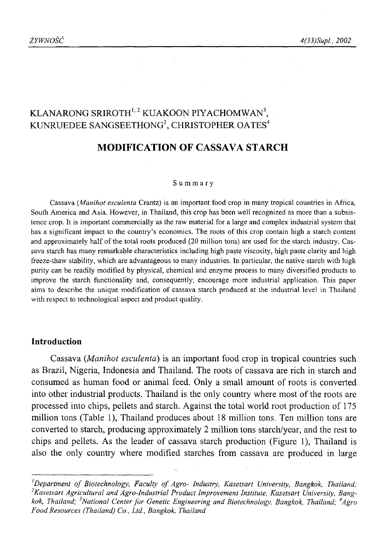# KLANARONG SRIROTH<sup>1,2</sup> KUAKOON PIYACHOMWAN<sup>3</sup>. KUNRUEDEE SANGSEETHONG<sup>3</sup>, CHRISTOPHER OATES<sup>4</sup>

# **MODIFICATION OF CASSAVA STARCH**

#### Summary

Cassava (*Manihot esculenta* Crantz) is an important food crop in many tropical countries in Africa, South America and Asia. However, in Thailand, this crop has been well recognized as more than a subsistence crop. It is important commercially as the raw material for a large and complex industrial system that has a significant impact to the country's economics. The roots of this crop contain high a starch content and approximately half of the total roots produced (20 million tons) are used for the starch industry. Cassava starch has many remarkable characteristics including high paste viscosity, high paste clarity and high freeze-thaw stability, which are advantageous to many industries. In particular, the native starch with high purity can be readily modified by physical, chemical and enzyme process to many diversified products to improve the starch functionality and, consequently, encourage more industrial application. This paper aims to describe the unique modification of cassava starch produced at the industrial level in Thailand with respect to technological aspect and product quality.

#### **Introduction**

Cassava *(.Manihot esculenta*) is an important food crop in tropical countries such as Brazil, Nigeria, Indonesia and Thailand. The roots of cassava are rich in starch and consumed as human food or animal feed. Only a small amount of roots is converted into other industrial products. Thailand is the only country where most of the roots are processed into chips, pellets and starch. Against the total world root production of 175 million tons (Table 1), Thailand produces about 18 million tons. Ten million tons are converted to starch, producing approximately 2 million tons starch/year, and the rest to chips and pellets. As the leader of cassava starch production (Figure 1), Thailand is also the only country where modified starches from cassava are produced in large

<sup>&</sup>lt;sup>*l*</sup> Department of Biotechnology, Faculty of Agro- Industry, Kasetsart University, Bangkok, Thailand; *2Kasetsart Agricultural and Agro-Industrial Product Improvement Institute, Kasetsart University, Bangkok, Thailand; 3National Center fo r Genetic Engineering and Biotechnology, Bangkok, Thailand; 4Agro Food Resources (Thailand) Co., Ltd., Bangkok, Thailand*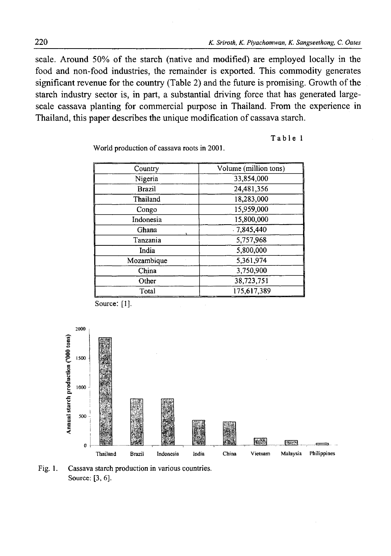scale. Around 50% of the starch (native and modified) are employed locally in the food and non-food industries, the remainder is exported. This commodity generates significant revenue for the country (Table 2) and the future is promising. Growth of the starch industry sector is, in part, a substantial driving force that has generated largescale cassava planting for commercial purpose in Thailand. From the experience in Thailand, this paper describes the unique modification of cassava starch.

**Table 1**

World production of cassava roots in 2001.

| Country    | Volume (million tons)            |  |
|------------|----------------------------------|--|
| Nigeria    | 33,854,000                       |  |
| Brazil     | 24,481,356                       |  |
| Thailand   | 18,283,000                       |  |
| Congo      | 15,959,000                       |  |
| Indonesia  | 15,800,000                       |  |
| Ghana      | .7,845,440                       |  |
| Tanzania   | 5,757,968                        |  |
| India      | 5.800,000                        |  |
| Mozambique | 5,361,974                        |  |
| China      | 3,750,900<br>38,723,751<br>Other |  |
|            |                                  |  |
| Total      | 175.617.389                      |  |



Fig. 1. Cassava starch production in various countries. Source: [3, 6].

Source: [1].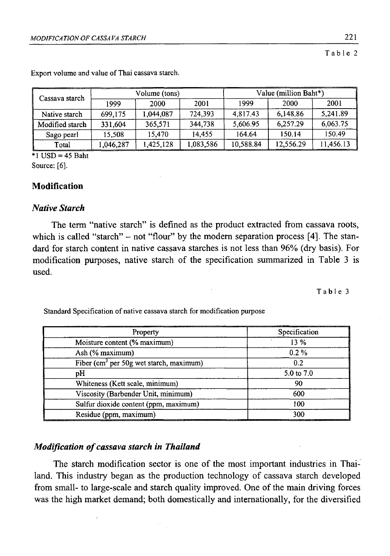Table 2

| Cassava starch  | Volume (tons) |           |           | Value (million Baht*) |           |           |
|-----------------|---------------|-----------|-----------|-----------------------|-----------|-----------|
|                 | 1999          | 2000      | 2001      | 1999                  | 2000      | 2001      |
| Native starch   | 699,175       | 1,044,087 | 724,393   | 4,817.43              | 6.148.86  | 5.241.89  |
| Modified starch | 331,604       | 365,571   | 344,738   | 5.606.95              | 6,257.29  | 6,063.75  |
| Sago pearl      | 15.508        | 15.470    | 14.455    | 164.64                | 150.14    | 150.49    |
| Total           | 1,046,287     | 1,425,128 | 1,083,586 | 10,588.84             | 12,556.29 | 11.456.13 |

Export volume and value of Thai cassava starch.

 $*1$  USD = 45 Baht Source: [6].

# **Modification**

#### *Native Starch*

The term "native starch" is defined as the product extracted from cassava roots, which is called "starch"  $-$  not "flour" by the modern separation process [4]. The standard for starch content in native cassava starches is not less than 96% (dry basis). For modification purposes, native starch of the specification summarized in Table 3 is used.

Table 3

Standard Specification of native cassava starch for modification purpose

| Property                                   | Specification |
|--------------------------------------------|---------------|
| Moisture content (% maximum)               | 13%           |
| Ash (% maximum)                            | $0.2\%$       |
| Fiber ( $cm3$ per 50g wet starch, maximum) | 0.2           |
| pH                                         | 5.0 to 7.0    |
| Whiteness (Kett scale, minimum)            | 90            |
| Viscosity (Barbender Unit, minimum)        | 600           |
| Sulfur dioxide content (ppm, maximum)      | 100           |
| Residue (ppm, maximum)                     | 300           |

# *Modification of cassava starch in Thailand*

The starch modification sector is one of the most important industries in Thailand. This industry began as the production technology of cassava starch developed from small- to large-scale and starch quality improved. One of the main driving forces was the high market demand; both domestically and internationally, for the diversified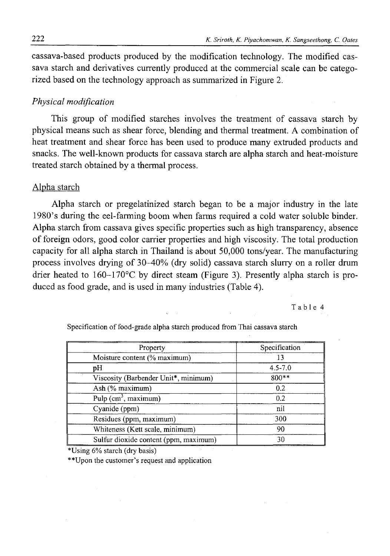cassava-based products produced by the modification technology. The modified cassava starch and derivatives currently produced at the commercial scale can be categorized based on the technology approach as summarized in Figure 2.

# *Physical modification*

This group of modified starches involves the treatment of cassava starch by physical means such as shear force, blending and thermal treatment. A combination of heat treatment and shear force has been used to produce many extruded products and snacks. The well-known products for cassava starch are alpha starch and heat-moisture treated starch obtained by a thermal process.

#### Alpha starch

Alpha starch or pregelatinized starch began to be a major industry in the late 1980's during the eel-farming boom when farms required a cold water soluble binder. Alpha starch from cassava gives specific properties such as high transparency, absence of foreign odors, good color carrier properties and high viscosity. The total production capacity for all alpha starch in Thailand is about 50,000 tons/year. The manufacturing process involves drying of 30-40% (dry solid) cassava starch slurry on a roller drum drier heated to  $160-170$ °C by direct steam (Figure 3). Presently alpha starch is produced as food grade, and is used in many industries (Table 4).

Table 4

Specification of food-grade alpha starch produced from Thai cassava starch

| Property                              | Specification |
|---------------------------------------|---------------|
| Moisture content (% maximum)          | 13            |
| рH                                    | $4.5 - 7.0$   |
| Viscosity (Barbender Unit*, minimum)  | 800**         |
| Ash (% maximum)                       | 0.2           |
| Pulp $(cm3, maximum)$                 | 0.2           |
| Cyanide (ppm)                         | nil           |
| Residues (ppm, maximum)               | 300           |
| Whiteness (Kett scale, minimum)       | 90            |
| Sulfur dioxide content (ppm, maximum) | 30            |

\*Using 6% starch (dry basis)

\*\*Upon the customer's request and application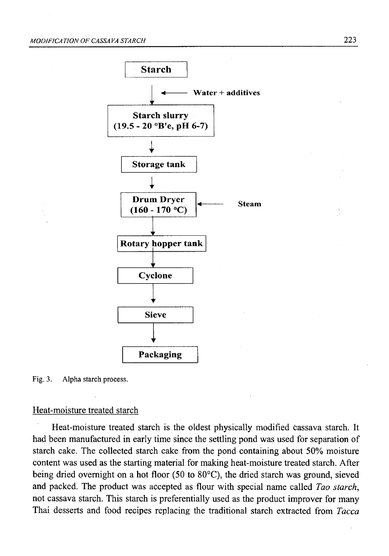

Fig. 3. Alpha starch process.

#### Heat-moisture treated starch

Heat-moisture treated starch is the oldest physically modified cassava starch. It had been manufactured in early time since the settling pond was used for separation of starch cake. The collected starch cake from the pond containing about 50% moisture content was used as the starting material for making heat-moisture treated starch. After being dried overnight on a hot floor (50 to 80°C), the dried starch was ground, sieved and packed. The product was accepted as flour with special name called *Tao starch,* not cassava starch. This starch is preferentially used as the product improver for many Thai desserts and food recipes replacing the traditional starch extracted from *Tacca*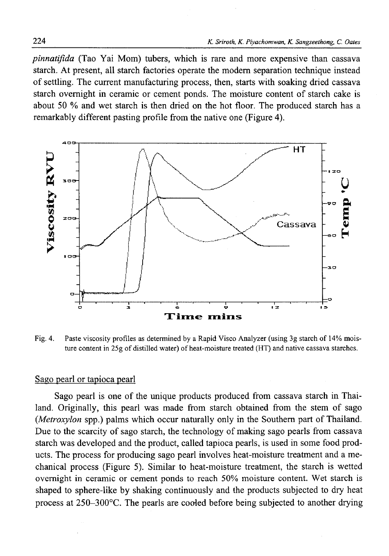*pinnatifida* (Tao Yai Mom) tubers, which is rare and more expensive than cassava starch. At present, all starch factories operate the modem separation technique instead of settling. The current manufacturing process, then, starts with soaking dried cassava starch overnight in ceramic or cement ponds. The moisture content of starch cake is about 50 % and wet starch is then dried on the hot floor. The produced starch has a remarkably different pasting profile from the native one (Figure 4).



Fig. 4. Paste viscosity profiles as determined by a Rapid Visco Analyzer (using 3g starch of 14% moisture content in 25g of distilled water) of heat-moisture treated (HT) and native cassava starches.

#### Sago pearl or tapioca pearl

Sago pearl is one of the unique products produced from cassava starch in Thailand. Originally, this pearl was made from starch obtained from the stem of sago *(Metroxylon* spp.) palms which occur naturally only in the Southern part of Thailand. Due to the scarcity of sago starch, the technology of making sago pearls from cassava starch was developed and the product, called tapioca pearls, is used in some food products. The process for producing sago pearl involves heat-moisture treatment and a mechanical process (Figure 5). Similar to heat-moisture treatment, the starch is wetted overnight in ceramic or cement ponds to reach 50% moisture content. Wet starch is shaped to sphere-like by shaking continuously and the products subjected to dry heat process at 250-300°C. The pearls are cooled before being subjected to another drying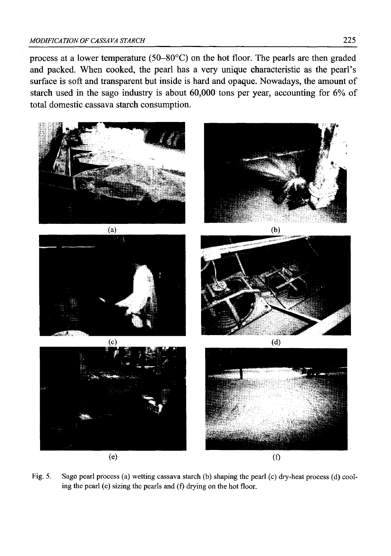process at a lower temperature (50-80°C) on the hot floor. The pearls are then graded and packed. When cooked, the pearl has a very unique characteristic as the pearl's surface is soft and transparent but inside is hard and opaque. Nowadays, the amount of starch used in the sago industry is about 60,000 tons per year, accounting for 6% of total domestic cassava starch consumption.



Fig. 5. Sago pearl process (a) wetting cassava starch (b) shaping the pearl (c) dry-heat process (d) cooling the pearl (e) sizing the pearls and (f) drying on the hot floor.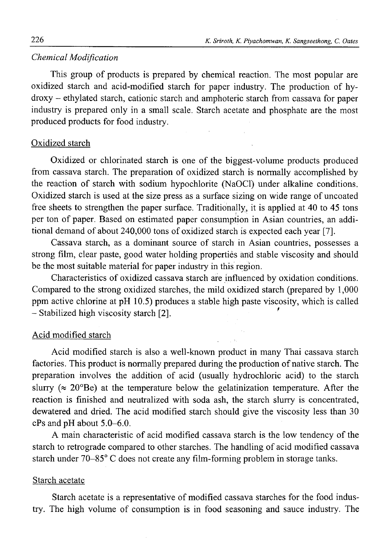#### **Chemical Modification**

This group of products is prepared by chemical reaction. The most popular are oxidized starch and acid-modified starch for paper industry. The production of hydroxy - ethylated starch, cationic starch and amphoteric starch from cassava for paper industry is prepared only in a small scale. Starch acetate and phosphate are the most produced products for food industry.

### Oxidized starch

Oxidized or chlorinated starch is one of the biggest-volume products produced from cassava starch. The preparation of oxidized starch is normally accomplished by the reaction of starch with sodium hypochlorite (NaOCl) under alkaline conditions. Oxidized starch is used at the size press as a surface sizing on wide range of uncoated free sheets to strengthen the paper surface. Traditionally, it is applied at 40 to 45 tons per ton of paper. Based on estimated paper consumption in Asian countries, an additional demand of about 240,000 tons of oxidized starch is expected each year [7].

Cassava starch, as a dominant source of starch in Asian countries, possesses a strong film, clear paste, good water holding properties and stable viscosity and should be the most suitable material for paper industry in this region.

Characteristics of oxidized cassava starch are influenced by oxidation conditions. Compared to the strong oxidized starches, the mild oxidized starch (prepared by 1,000 ppm active chlorine at pH 10.5) produces a stable high paste viscosity, which is called - Stabilized high viscosity starch [2]. *\**

# Acid modified starch

Acid modified starch is also a well-known product in many Thai cassava starch factories. This product is normally prepared during the production of native starch. The preparation involves the addition of acid (usually hydrochloric acid) to the starch slurry ( $\approx 20^{\circ}$ Be) at the temperature below the gelatinization temperature. After the reaction is finished and neutralized with soda ash, the starch slurry is concentrated, dewatered and dried. The acid modified starch should give the viscosity less than 30 cPs and pH about 5.0-6.0.

A main characteristic of acid modified cassava starch is the low tendency of the starch to retrograde compared to other starches. The handling of acid modified cassava starch under 70-85° C does not create any film-forming problem in storage tanks.

#### Starch acetate

Starch acetate is a representative of modified cassava starches for the food industry. The high volume of consumption is in food seasoning and sauce industry. The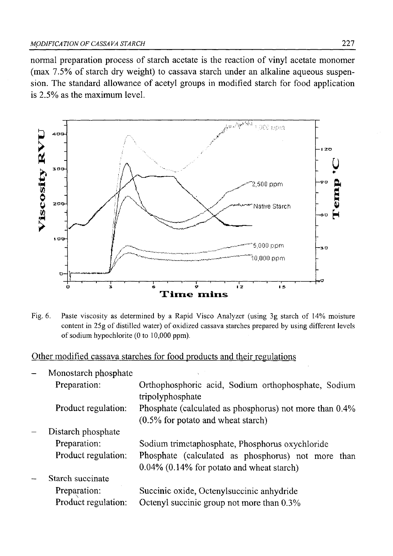normal preparation process of starch acetate is the reaction of vinyl acetate monomer  $(max 7.5\%$  of starch dry weight) to cassava starch under an alkaline aqueous suspension. The standard allowance of acetyl groups in modified starch for food application is 2.5%) as the maximum level.



Fig. 6. Paste viscosity as determined by a Rapid Visco Analyzer (using 3g starch of 14% moisture content in 25g of distilled water) of oxidized cassava starches prepared by using different levels of sodium hypochlorite (0 to 10,000 ppm).

Other modified cassava starches for food products and their regulations

|                          | Monostarch phosphate |                                                                                                    |
|--------------------------|----------------------|----------------------------------------------------------------------------------------------------|
|                          | Preparation:         | Orthophosphoric acid, Sodium orthophosphate, Sodium<br>tripolyphosphate                            |
|                          | Product regulation:  | Phosphate (calculated as phosphorus) not more than 0.4%<br>$(0.5\%$ for potato and wheat starch)   |
|                          | Distarch phosphate   |                                                                                                    |
|                          | Preparation:         | Sodium trimetaphosphate, Phosphorus oxychloride                                                    |
|                          | Product regulation:  | Phosphate (calculated as phosphorus) not more than<br>$0.04\%$ (0.14% for potato and wheat starch) |
| $\overline{\phantom{a}}$ | Starch succinate     |                                                                                                    |
|                          | Preparation:         | Succinic oxide, Octenyl succinic anhydride                                                         |
|                          | Product regulation:  | Octenyl succinic group not more than 0.3%                                                          |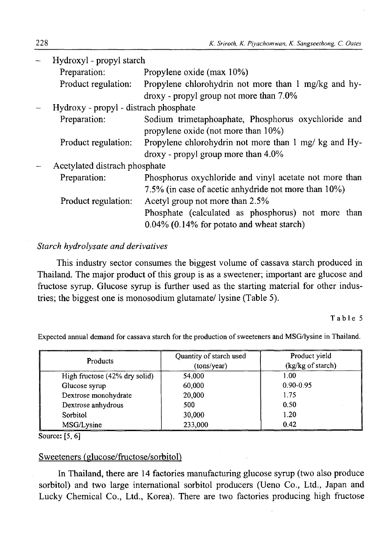| Hydroxyl - propyl starch              |                                                                                            |  |  |
|---------------------------------------|--------------------------------------------------------------------------------------------|--|--|
| Preparation:                          | Propylene oxide (max 10%)                                                                  |  |  |
| Product regulation:                   | Propylene chlorohydrin not more than 1 mg/kg and hy-                                       |  |  |
|                                       | droxy - propyl group not more than 7.0%                                                    |  |  |
| Hydroxy - propyl - distrach phosphate |                                                                                            |  |  |
| Preparation:                          | Sodium trimetaphoaphate, Phosphorus oxychloride and<br>propylene oxide (not more than 10%) |  |  |
| Product regulation:                   | Propylene chlorohydrin not more than 1 mg/ kg and Hy-                                      |  |  |
|                                       | droxy - propyl group more than 4.0%                                                        |  |  |
| Acetylated distrach phosphate         |                                                                                            |  |  |
| Preparation:                          | Phosphorus oxychloride and vinyl acetate not more than                                     |  |  |
|                                       | 7.5% (in case of acetic anhydride not more than 10%)                                       |  |  |
| Product regulation:                   | Acetyl group not more than 2.5%                                                            |  |  |
|                                       | Phosphate (calculated as phosphorus) not more than                                         |  |  |
|                                       | $0.04\%$ (0.14% for potato and wheat starch)                                               |  |  |

## *Starch hydrolysate and derivatives*

This industry sector consumes the biggest volume of cassava starch produced in Thailand. The major product of this group is as a sweetener; important are glucose and fructose syrup. Glucose syrup is further used as the starting material for other industries; the biggest one is monosodium glutamate/ lysine (Table 5).

Table 5

Expected annual demand for cassava starch for the production of sweeteners and MSG/lysine in Thailand.

| Products                      | Quantity of starch used<br>(tons/year) | Product yield<br>(kg/kg of starch) |  |
|-------------------------------|----------------------------------------|------------------------------------|--|
| High fructose (42% dry solid) | 54,000                                 | 1.00                               |  |
| Glucose syrup                 | 60,000                                 | $0.90 - 0.95$                      |  |
| Dextrose monohydrate          | 20,000                                 | 1.75                               |  |
| Dextrose anhydrous            | 500                                    | 0.50                               |  |
| Sorbitol                      | 30,000                                 | 1.20                               |  |
| MSG/Lysine                    | 233,000                                | 0.42                               |  |

Source: [5, 6]

# Sweeteners (glucose/fructose/sorbitol)

In Thailand, there are 14 factories manufacturing glucose syrup (two also produce sorbitol) and two large international sorbitol producers (Ueno Co., Ltd., Japan and Lucky Chemical Co., Ltd., Korea). There are two factories producing high fructose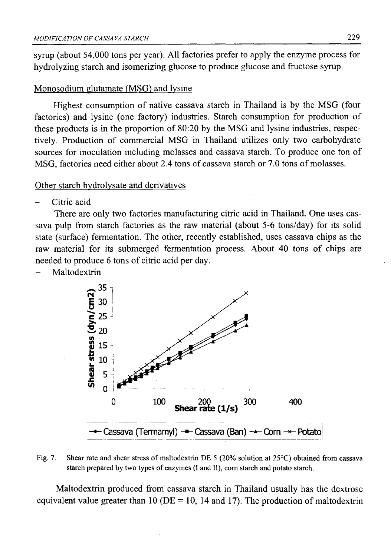syrup (about 54,000 tons per year). All factories prefer to apply the enzyme process for hydrolyzing starch and isomerizing glucose to produce glucose and fructose syrup.

#### Monosodium glutamate (MSG) and lysine

Highest consumption of native cassava starch in Thailand is by the MSG (four factories) and lysine (one factory) industries. Starch consumption for production of these products is in the proportion of 80:20 by the MSG and lysine industries, respectively. Production of commercial MSG in Thailand utilizes only two carbohydrate sources for inoculation including molasses and cassava starch. To produce one ton of MSG, factories need either about 2.4 tons of cassava starch or 7.0 tons of molasses.

#### Other starch hvdrolvsate and derivatives

Citric acid

There are only two factories manufacturing citric acid in Thailand. One uses cassava pulp from starch factories as the raw material (about 5-6 tons/day) for its solid state (surface) fermentation. The other, recently established, uses cassava chips as the raw material for its submerged fermentation process. About 40 tons of chips are needed to produce 6 tons of citric acid per day.

Maltodextrin



Fig. 7. Shear rate and shear stress of maltodextrin DE 5 (20% solution at 25°C) obtained from cassava starch prepared by two types of enzymes (I and II), com starch and potato starch.

Maltodextrin produced from cassava starch in Thailand usually has the dextrose equivalent value greater than 10 ( $DE = 10$ , 14 and 17). The production of maltodextrin